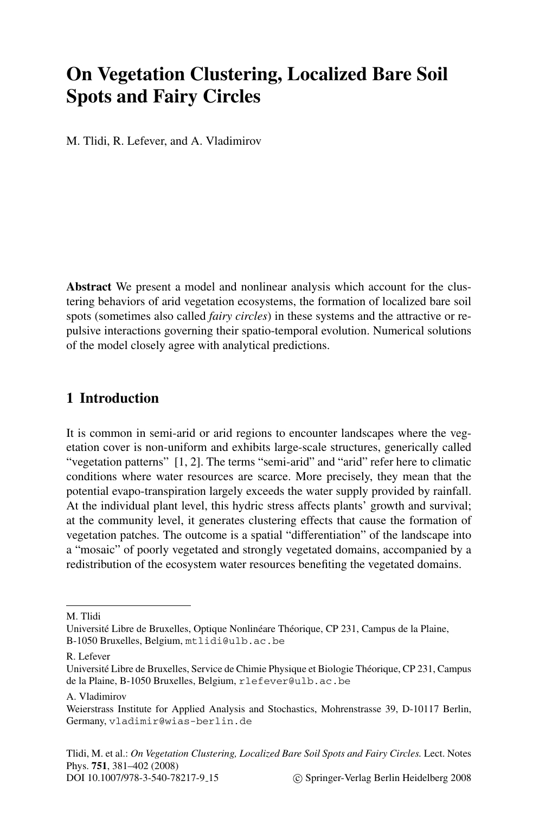# **On Vegetation Clustering, Localized Bare Soil Spots and Fairy Circles**

M. Tlidi, R. Lefever, and A. Vladimirov

**Abstract** We present a model and nonlinear analysis which account for the clustering behaviors of arid vegetation ecosystems, the formation of localized bare soil spots (sometimes also called *fairy circles*) in these systems and the attractive or repulsive interactions governing their spatio-temporal evolution. Numerical solutions of the model closely agree with analytical predictions.

## **1 Introduction**

It is common in semi-arid or arid regions to encounter landscapes where the vegetation cover is non-uniform and exhibits large-scale structures, generically called "vegetation patterns" [1, 2]. The terms "semi-arid" and "arid" refer here to climatic conditions where water resources are scarce. More precisely, they mean that the potential evapo-transpiration largely exceeds the water supply provided by rainfall. At the individual plant level, this hydric stress affects plants' growth and survival; at the community level, it generates clustering effects that cause the formation of vegetation patches. The outcome is a spatial "differentiation" of the landscape into a "mosaic" of poorly vegetated and strongly vegetated domains, accompanied by a redistribution of the ecosystem water resources benefiting the vegetated domains.

A. Vladimirov

Tlidi, M. et al.: *On Vegetation Clustering, Localized Bare Soil Spots and Fairy Circles.* Lect. Notes Phys. **751**, 381–402 (2008) DOI 10.1007/978-3-540-78217-9<sub>-15</sub> c Springer-Verlag Berlin Heidelberg 2008

M. Tlidi

Université Libre de Bruxelles, Optique Nonlinéare Théorique, CP 231, Campus de la Plaine, B-1050 Bruxelles, Belgium, mtlidi@ulb.ac.be

R. Lefever

Université Libre de Bruxelles, Service de Chimie Physique et Biologie Théorique, CP 231, Campus de la Plaine, B-1050 Bruxelles, Belgium, rlefever@ulb.ac.be

Weierstrass Institute for Applied Analysis and Stochastics, Mohrenstrasse 39, D-10117 Berlin, Germany, vladimir@wias-berlin.de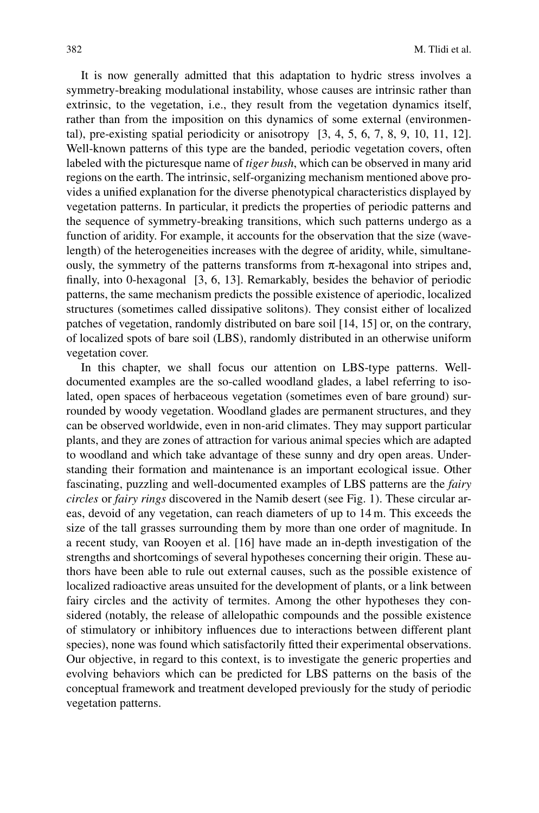It is now generally admitted that this adaptation to hydric stress involves a symmetry-breaking modulational instability, whose causes are intrinsic rather than extrinsic, to the vegetation, i.e., they result from the vegetation dynamics itself, rather than from the imposition on this dynamics of some external (environmental), pre-existing spatial periodicity or anisotropy  $[3, 4, 5, 6, 7, 8, 9, 10, 11, 12]$ . Well-known patterns of this type are the banded, periodic vegetation covers, often labeled with the picturesque name of *tiger bush*, which can be observed in many arid regions on the earth. The intrinsic, self-organizing mechanism mentioned above provides a unified explanation for the diverse phenotypical characteristics displayed by vegetation patterns. In particular, it predicts the properties of periodic patterns and the sequence of symmetry-breaking transitions, which such patterns undergo as a function of aridity. For example, it accounts for the observation that the size (wavelength) of the heterogeneities increases with the degree of aridity, while, simultaneously, the symmetry of the patterns transforms from  $\pi$ -hexagonal into stripes and, finally, into 0-hexagonal [3, 6, 13]. Remarkably, besides the behavior of periodic patterns, the same mechanism predicts the possible existence of aperiodic, localized structures (sometimes called dissipative solitons). They consist either of localized patches of vegetation, randomly distributed on bare soil [14, 15] or, on the contrary, of localized spots of bare soil (LBS), randomly distributed in an otherwise uniform vegetation cover.

In this chapter, we shall focus our attention on LBS-type patterns. Welldocumented examples are the so-called woodland glades, a label referring to isolated, open spaces of herbaceous vegetation (sometimes even of bare ground) surrounded by woody vegetation. Woodland glades are permanent structures, and they can be observed worldwide, even in non-arid climates. They may support particular plants, and they are zones of attraction for various animal species which are adapted to woodland and which take advantage of these sunny and dry open areas. Understanding their formation and maintenance is an important ecological issue. Other fascinating, puzzling and well-documented examples of LBS patterns are the *fairy circles* or *fairy rings* discovered in the Namib desert (see Fig. 1). These circular areas, devoid of any vegetation, can reach diameters of up to 14 m. This exceeds the size of the tall grasses surrounding them by more than one order of magnitude. In a recent study, van Rooyen et al. [16] have made an in-depth investigation of the strengths and shortcomings of several hypotheses concerning their origin. These authors have been able to rule out external causes, such as the possible existence of localized radioactive areas unsuited for the development of plants, or a link between fairy circles and the activity of termites. Among the other hypotheses they considered (notably, the release of allelopathic compounds and the possible existence of stimulatory or inhibitory influences due to interactions between different plant species), none was found which satisfactorily fitted their experimental observations. Our objective, in regard to this context, is to investigate the generic properties and evolving behaviors which can be predicted for LBS patterns on the basis of the conceptual framework and treatment developed previously for the study of periodic vegetation patterns.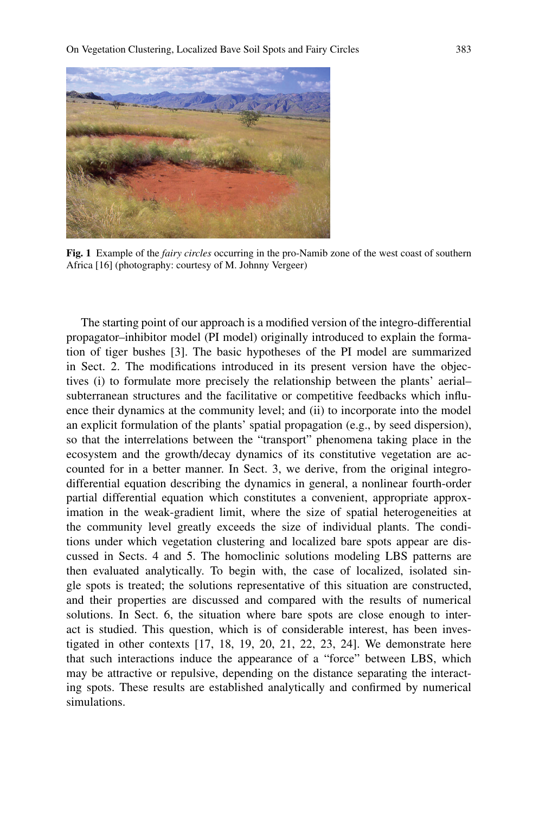

**Fig. 1** Example of the *fairy circles* occurring in the pro-Namib zone of the west coast of southern Africa [16] (photography: courtesy of M. Johnny Vergeer)

The starting point of our approach is a modified version of the integro-differential propagator–inhibitor model (PI model) originally introduced to explain the formation of tiger bushes [3]. The basic hypotheses of the PI model are summarized in Sect. 2. The modifications introduced in its present version have the objectives (i) to formulate more precisely the relationship between the plants' aerial– subterranean structures and the facilitative or competitive feedbacks which influence their dynamics at the community level; and (ii) to incorporate into the model an explicit formulation of the plants' spatial propagation (e.g., by seed dispersion), so that the interrelations between the "transport" phenomena taking place in the ecosystem and the growth/decay dynamics of its constitutive vegetation are accounted for in a better manner. In Sect. 3, we derive, from the original integrodifferential equation describing the dynamics in general, a nonlinear fourth-order partial differential equation which constitutes a convenient, appropriate approximation in the weak-gradient limit, where the size of spatial heterogeneities at the community level greatly exceeds the size of individual plants. The conditions under which vegetation clustering and localized bare spots appear are discussed in Sects. 4 and 5. The homoclinic solutions modeling LBS patterns are then evaluated analytically. To begin with, the case of localized, isolated single spots is treated; the solutions representative of this situation are constructed, and their properties are discussed and compared with the results of numerical solutions. In Sect. 6, the situation where bare spots are close enough to interact is studied. This question, which is of considerable interest, has been investigated in other contexts [17, 18, 19, 20, 21, 22, 23, 24]. We demonstrate here that such interactions induce the appearance of a "force" between LBS, which may be attractive or repulsive, depending on the distance separating the interacting spots. These results are established analytically and confirmed by numerical simulations.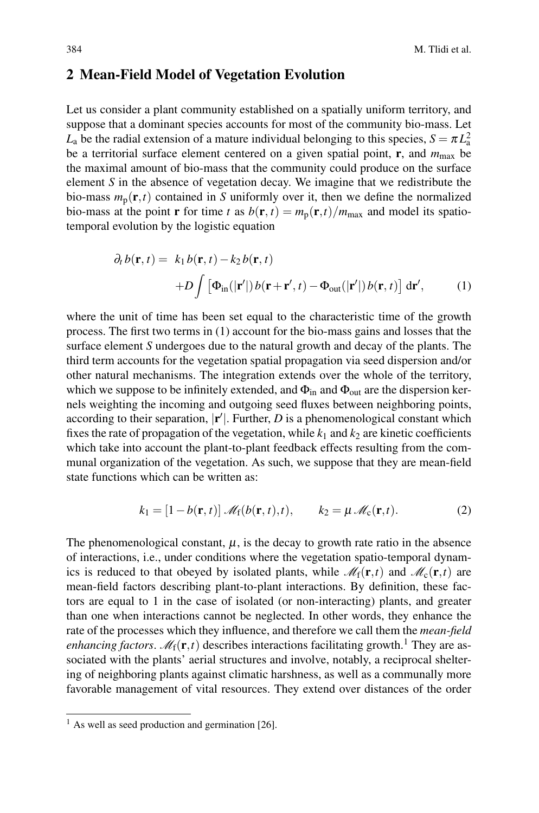## **2 Mean-Field Model of Vegetation Evolution**

Let us consider a plant community established on a spatially uniform territory, and suppose that a dominant species accounts for most of the community bio-mass. Let  $L_a$  be the radial extension of a mature individual belonging to this species,  $S = \pi L_a^2$ be a territorial surface element centered on a given spatial point, **r**, and *m*max be the maximal amount of bio-mass that the community could produce on the surface element *S* in the absence of vegetation decay. We imagine that we redistribute the bio-mass  $m_p(\mathbf{r},t)$  contained in *S* uniformly over it, then we define the normalized bio-mass at the point **r** for time *t* as  $b(\mathbf{r}, t) = m_p(\mathbf{r}, t)/m_{\text{max}}$  and model its spatiotemporal evolution by the logistic equation

$$
\partial_t b(\mathbf{r}, t) = k_1 b(\mathbf{r}, t) - k_2 b(\mathbf{r}, t)
$$
  
+
$$
D \int [\Phi_{\text{in}}(|\mathbf{r}'|) b(\mathbf{r} + \mathbf{r}', t) - \Phi_{\text{out}}(|\mathbf{r}'|) b(\mathbf{r}, t)] d\mathbf{r}', \qquad (1)
$$

where the unit of time has been set equal to the characteristic time of the growth process. The first two terms in (1) account for the bio-mass gains and losses that the surface element *S* undergoes due to the natural growth and decay of the plants. The third term accounts for the vegetation spatial propagation via seed dispersion and/or other natural mechanisms. The integration extends over the whole of the territory, which we suppose to be infinitely extended, and  $\Phi_{in}$  and  $\Phi_{out}$  are the dispersion kernels weighting the incoming and outgoing seed fluxes between neighboring points, according to their separation,  $|\mathbf{r}'|$ . Further, *D* is a phenomenological constant which fixes the rate of propagation of the vegetation, while  $k_1$  and  $k_2$  are kinetic coefficients which take into account the plant-to-plant feedback effects resulting from the communal organization of the vegetation. As such, we suppose that they are mean-field state functions which can be written as:

$$
k_1 = [1 - b(\mathbf{r}, t)] \mathcal{M}_f(b(\mathbf{r}, t), t), \qquad k_2 = \mu \mathcal{M}_c(\mathbf{r}, t). \tag{2}
$$

The phenomenological constant,  $\mu$ , is the decay to growth rate ratio in the absence of interactions, i.e., under conditions where the vegetation spatio-temporal dynamics is reduced to that obeyed by isolated plants, while  $\mathcal{M}_{f}(\mathbf{r},t)$  and  $\mathcal{M}_{c}(\mathbf{r},t)$  are mean-field factors describing plant-to-plant interactions. By definition, these factors are equal to 1 in the case of isolated (or non-interacting) plants, and greater than one when interactions cannot be neglected. In other words, they enhance the rate of the processes which they influence, and therefore we call them the *mean-field enhancing factors.*  $\mathcal{M}_f(\mathbf{r},t)$  describes interactions facilitating growth.<sup>1</sup> They are associated with the plants' aerial structures and involve, notably, a reciprocal sheltering of neighboring plants against climatic harshness, as well as a communally more favorable management of vital resources. They extend over distances of the order

 $<sup>1</sup>$  As well as seed production and germination [26].</sup>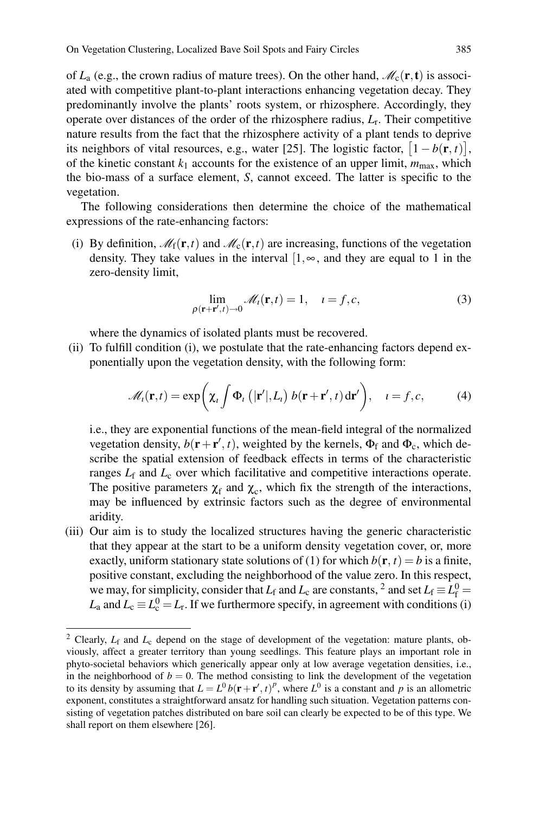of  $L_a$  (e.g., the crown radius of mature trees). On the other hand,  $\mathcal{M}_c(\mathbf{r}, \mathbf{t})$  is associated with competitive plant-to-plant interactions enhancing vegetation decay. They predominantly involve the plants' roots system, or rhizosphere. Accordingly, they operate over distances of the order of the rhizosphere radius, *L*r. Their competitive nature results from the fact that the rhizosphere activity of a plant tends to deprive its neighbors of vital resources, e.g., water [25]. The logistic factor,  $\left|1-b(\mathbf{r},t)\right|$ , of the kinetic constant  $k_1$  accounts for the existence of an upper limit,  $m_{\text{max}}$ , which the bio-mass of a surface element, *S*, cannot exceed. The latter is specific to the vegetation.

The following considerations then determine the choice of the mathematical expressions of the rate-enhancing factors:

(i) By definition,  $\mathcal{M}_f(\mathbf{r},t)$  and  $\mathcal{M}_c(\mathbf{r},t)$  are increasing, functions of the vegetation density. They take values in the interval  $[1, \infty)$ , and they are equal to 1 in the zero-density limit,

$$
\lim_{\rho(\mathbf{r}+\mathbf{r}',t)\to 0} \mathcal{M}_i(\mathbf{r},t) = 1, \quad i = f, c,
$$
\n(3)

where the dynamics of isolated plants must be recovered.

(ii) To fulfill condition (i), we postulate that the rate-enhancing factors depend exponentially upon the vegetation density, with the following form:

$$
\mathcal{M}_i(\mathbf{r},t) = \exp\bigg(\chi_t \int \Phi_t\left(|\mathbf{r}'|,L_t\right) b(\mathbf{r}+\mathbf{r}',t) d\mathbf{r}'\bigg), \quad t = f, c,
$$
 (4)

i.e., they are exponential functions of the mean-field integral of the normalized vegetation density,  $b(\mathbf{r}+\mathbf{r}',t)$ , weighted by the kernels,  $\Phi_f$  and  $\Phi_c$ , which describe the spatial extension of feedback effects in terms of the characteristic ranges  $L_f$  and  $L_c$  over which facilitative and competitive interactions operate. The positive parameters  $\chi_f$  and  $\chi_c$ , which fix the strength of the interactions, may be influenced by extrinsic factors such as the degree of environmental aridity.

(iii) Our aim is to study the localized structures having the generic characteristic that they appear at the start to be a uniform density vegetation cover, or, more exactly, uniform stationary state solutions of (1) for which  $b(\mathbf{r}, t) = b$  is a finite, positive constant, excluding the neighborhood of the value zero. In this respect, we may, for simplicity, consider that  $L_f$  and  $L_c$  are constants, <sup>2</sup> and set  $L_f \equiv L_f^0 =$  $L_a$  and  $L_c \equiv L_c^0 = L_r$ . If we furthermore specify, in agreement with conditions (i)

<sup>&</sup>lt;sup>2</sup> Clearly,  $L_f$  and  $L_c$  depend on the stage of development of the vegetation: mature plants, obviously, affect a greater territory than young seedlings. This feature plays an important role in phyto-societal behaviors which generically appear only at low average vegetation densities, i.e., in the neighborhood of  $b = 0$ . The method consisting to link the development of the vegetation to its density by assuming that  $L = L^0 b(\mathbf{r} + \mathbf{r}', t)^p$ , where  $L^0$  is a constant and *p* is an allometric exponent, constitutes a straightforward ansatz for handling such situation. Vegetation patterns consisting of vegetation patches distributed on bare soil can clearly be expected to be of this type. We shall report on them elsewhere [26].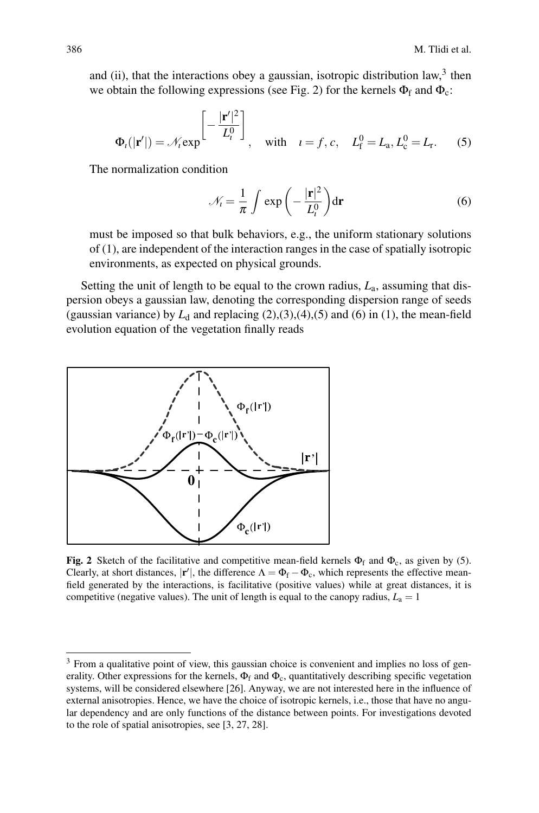and (ii), that the interactions obey a gaussian, isotropic distribution law,  $3$  then we obtain the following expressions (see Fig. 2) for the kernels  $\Phi_f$  and  $\Phi_c$ :

$$
\Phi_{t}(|\mathbf{r}'|) = \mathcal{N}_{t} \exp\left[-\frac{|\mathbf{r}'|^{2}}{L_{t}^{0}}\right], \quad \text{with} \quad t = f, c, \quad L_{f}^{0} = L_{a}, L_{c}^{0} = L_{r}.
$$
 (5)

The normalization condition

$$
\mathcal{N}_t = \frac{1}{\pi} \int \exp\left(-\frac{|\mathbf{r}|^2}{L_t^0}\right) d\mathbf{r}
$$
 (6)

must be imposed so that bulk behaviors, e.g., the uniform stationary solutions of (1), are independent of the interaction ranges in the case of spatially isotropic environments, as expected on physical grounds.

Setting the unit of length to be equal to the crown radius, *L*a, assuming that dispersion obeys a gaussian law, denoting the corresponding dispersion range of seeds (gaussian variance) by  $L_d$  and replacing  $(2),(3),(4),(5)$  and  $(6)$  in  $(1)$ , the mean-field evolution equation of the vegetation finally reads



**Fig. 2** Sketch of the facilitative and competitive mean-field kernels  $\Phi_f$  and  $\Phi_c$ , as given by (5). Clearly, at short distances,  $|\mathbf{r}'|$ , the difference  $\Lambda = \Phi_f - \Phi_c$ , which represents the effective meanfield generated by the interactions, is facilitative (positive values) while at great distances, it is competitive (negative values). The unit of length is equal to the canopy radius,  $L_a = 1$ 

<sup>&</sup>lt;sup>3</sup> From a qualitative point of view, this gaussian choice is convenient and implies no loss of generality. Other expressions for the kernels,  $\Phi_f$  and  $\Phi_c$ , quantitatively describing specific vegetation systems, will be considered elsewhere [26]. Anyway, we are not interested here in the influence of external anisotropies. Hence, we have the choice of isotropic kernels, i.e., those that have no angular dependency and are only functions of the distance between points. For investigations devoted to the role of spatial anisotropies, see [3, 27, 28].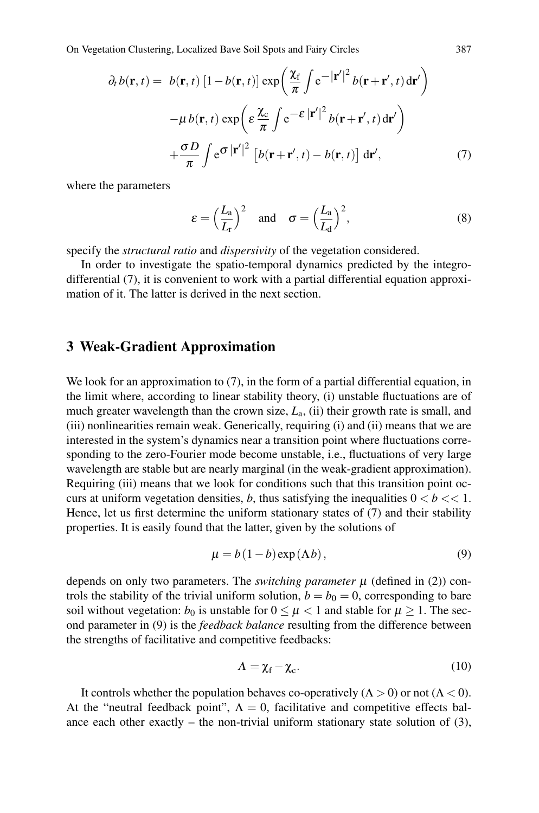On Vegetation Clustering, Localized Bave Soil Spots and Fairy Circles 387

$$
\partial_t b(\mathbf{r}, t) = b(\mathbf{r}, t) \left[ 1 - b(\mathbf{r}, t) \right] \exp\left( \frac{\chi_f}{\pi} \int e^{-|\mathbf{r}'|^2} b(\mathbf{r} + \mathbf{r}', t) d\mathbf{r}' \right)
$$

$$
- \mu b(\mathbf{r}, t) \exp\left( \varepsilon \frac{\chi_c}{\pi} \int e^{-\varepsilon |\mathbf{r}'|^2} b(\mathbf{r} + \mathbf{r}', t) d\mathbf{r}' \right)
$$

$$
+ \frac{\sigma D}{\pi} \int e^{\sigma |\mathbf{r}'|^2} \left[ b(\mathbf{r} + \mathbf{r}', t) - b(\mathbf{r}, t) \right] d\mathbf{r}', \tag{7}
$$

where the parameters

$$
\varepsilon = \left(\frac{L_a}{L_r}\right)^2 \quad \text{and} \quad \sigma = \left(\frac{L_a}{L_d}\right)^2,\tag{8}
$$

specify the *structural ratio* and *dispersivity* of the vegetation considered.

In order to investigate the spatio-temporal dynamics predicted by the integrodifferential (7), it is convenient to work with a partial differential equation approximation of it. The latter is derived in the next section.

#### **3 Weak-Gradient Approximation**

We look for an approximation to (7), in the form of a partial differential equation, in the limit where, according to linear stability theory, (i) unstable fluctuations are of much greater wavelength than the crown size, *L*a, (ii) their growth rate is small, and (iii) nonlinearities remain weak. Generically, requiring (i) and (ii) means that we are interested in the system's dynamics near a transition point where fluctuations corresponding to the zero-Fourier mode become unstable, i.e., fluctuations of very large wavelength are stable but are nearly marginal (in the weak-gradient approximation). Requiring (iii) means that we look for conditions such that this transition point occurs at uniform vegetation densities, *b*, thus satisfying the inequalities  $0 < b < 1$ . Hence, let us first determine the uniform stationary states of (7) and their stability properties. It is easily found that the latter, given by the solutions of

$$
\mu = b(1 - b) \exp(\Lambda b), \tag{9}
$$

depends on only two parameters. The *switching parameter*  $\mu$  (defined in (2)) controls the stability of the trivial uniform solution,  $b = b<sub>0</sub> = 0$ , corresponding to bare soil without vegetation:  $b_0$  is unstable for  $0 \leq \mu < 1$  and stable for  $\mu \geq 1$ . The second parameter in (9) is the *feedback balance* resulting from the difference between the strengths of facilitative and competitive feedbacks:

$$
\Lambda = \chi_{\rm f} - \chi_{\rm c}.\tag{10}
$$

It controls whether the population behaves co-operatively  $(Λ > 0)$  or not  $(Λ < 0)$ . At the "neutral feedback point",  $\Lambda = 0$ , facilitative and competitive effects balance each other exactly – the non-trivial uniform stationary state solution of (3),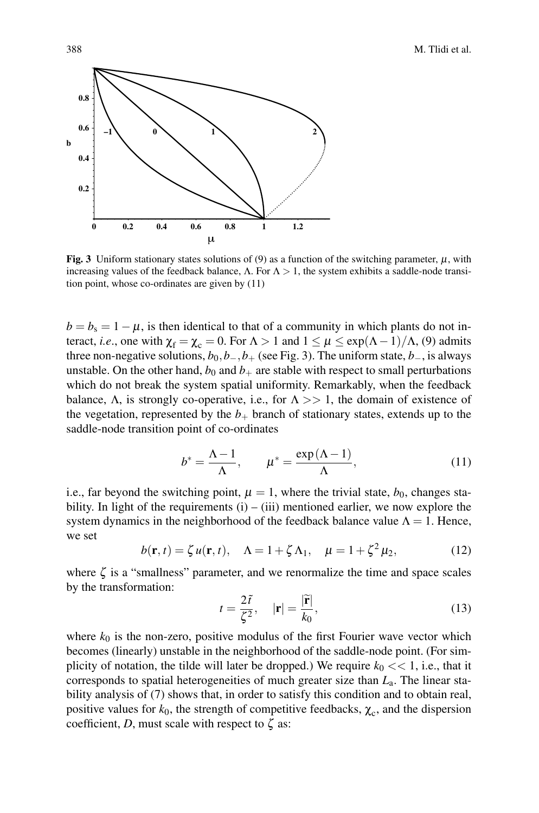

**Fig. 3** Uniform stationary states solutions of (9) as a function of the switching parameter,  $\mu$ , with increasing values of the feedback balance,  $\Lambda$ . For  $\Lambda > 1$ , the system exhibits a saddle-node transition point, whose co-ordinates are given by (11)

 $b = b_s = 1 - \mu$ , is then identical to that of a community in which plants do not interact, *i.e.*, one with  $\chi_f = \chi_c = 0$ . For  $\Lambda > 1$  and  $1 \leq \mu \leq \exp(\Lambda - 1)/\Lambda$ , (9) admits three non-negative solutions,  $b_0$ ,  $b_-, b_+$  (see Fig. 3). The uniform state,  $b_-,$  is always unstable. On the other hand,  $b_0$  and  $b_+$  are stable with respect to small perturbations which do not break the system spatial uniformity. Remarkably, when the feedback balance,  $\Lambda$ , is strongly co-operative, i.e., for  $\Lambda >> 1$ , the domain of existence of the vegetation, represented by the  $b_{+}$  branch of stationary states, extends up to the saddle-node transition point of co-ordinates

$$
b^* = \frac{\Lambda - 1}{\Lambda}, \qquad \mu^* = \frac{\exp(\Lambda - 1)}{\Lambda}, \tag{11}
$$

i.e., far beyond the switching point,  $\mu = 1$ , where the trivial state,  $b_0$ , changes stability. In light of the requirements  $(i) - (iii)$  mentioned earlier, we now explore the system dynamics in the neighborhood of the feedback balance value  $\Lambda = 1$ . Hence, we set

$$
b(\mathbf{r},t) = \zeta u(\mathbf{r},t), \quad \Lambda = 1 + \zeta \Lambda_1, \quad \mu = 1 + \zeta^2 \mu_2,\tag{12}
$$

where  $\zeta$  is a "smallness" parameter, and we renormalize the time and space scales by the transformation:

$$
t = \frac{2\tilde{t}}{\zeta^2}, \quad |\mathbf{r}| = \frac{|\tilde{\mathbf{r}}|}{k_0},\tag{13}
$$

where  $k_0$  is the non-zero, positive modulus of the first Fourier wave vector which becomes (linearly) unstable in the neighborhood of the saddle-node point. (For simplicity of notation, the tilde will later be dropped.) We require  $k_0 \ll 1$ , i.e., that it corresponds to spatial heterogeneities of much greater size than *L*a. The linear stability analysis of (7) shows that, in order to satisfy this condition and to obtain real, positive values for  $k_0$ , the strength of competitive feedbacks,  $\chi_c$ , and the dispersion coefficient, *D*, must scale with respect to  $\zeta$  as: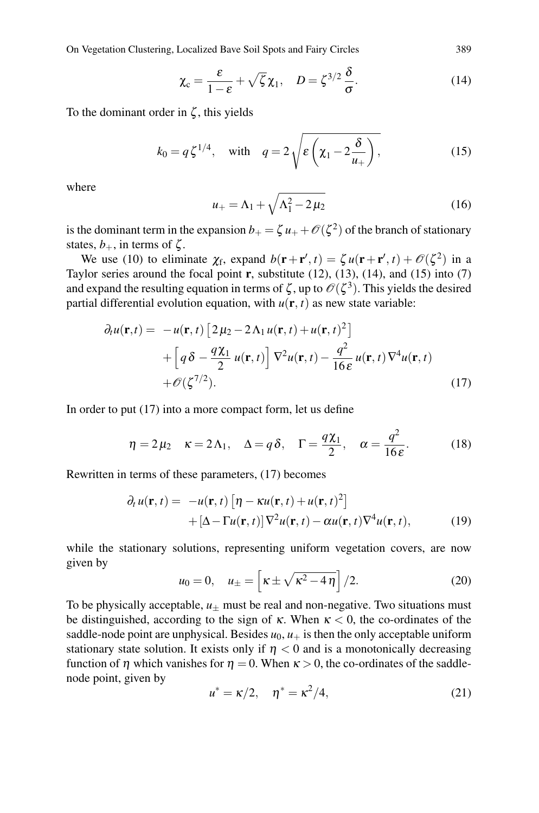On Vegetation Clustering, Localized Bave Soil Spots and Fairy Circles 389

$$
\chi_{\rm c} = \frac{\varepsilon}{1 - \varepsilon} + \sqrt{\zeta} \chi_1, \quad D = \zeta^{3/2} \frac{\delta}{\sigma}.
$$
 (14)

To the dominant order in  $\zeta$ , this yields

$$
k_0 = q \zeta^{1/4}, \quad \text{with} \quad q = 2 \sqrt{\varepsilon \left( \chi_1 - 2 \frac{\delta}{u_+} \right)}, \tag{15}
$$

where

$$
u_{+} = \Lambda_1 + \sqrt{\Lambda_1^2 - 2\mu_2}
$$
 (16)

is the dominant term in the expansion  $b_+ = \zeta u_+ + \mathcal{O}(\zeta^2)$  of the branch of stationary states,  $b_+$ , in terms of  $\zeta$ .

We use (10) to eliminate  $\chi_f$ , expand  $b(\mathbf{r}+\mathbf{r}',t) = \zeta u(\mathbf{r}+\mathbf{r}',t) + \mathcal{O}(\zeta^2)$  in a Taylor series around the focal point  $\bf{r}$ , substitute (12), (13), (14), and (15) into (7) and expand the resulting equation in terms of  $\zeta$ , up to  $\mathcal{O}(\zeta^3)$ . This yields the desired partial differential evolution equation, with  $u(\mathbf{r}, t)$  as new state variable:

$$
\partial_t u(\mathbf{r},t) = -u(\mathbf{r},t) \left[ 2\mu_2 - 2\Lambda_1 u(\mathbf{r},t) + u(\mathbf{r},t)^2 \right] \n+ \left[ q\delta - \frac{q\chi_1}{2} u(\mathbf{r},t) \right] \nabla^2 u(\mathbf{r},t) - \frac{q^2}{16\varepsilon} u(\mathbf{r},t) \nabla^4 u(\mathbf{r},t) \n+ \mathcal{O}(\zeta^{7/2}).
$$
\n(17)

In order to put (17) into a more compact form, let us define

$$
\eta = 2\mu_2 \quad \kappa = 2\Lambda_1, \quad \Delta = q\,\delta, \quad \Gamma = \frac{q\chi_1}{2}, \quad \alpha = \frac{q^2}{16\,\varepsilon}.\tag{18}
$$

Rewritten in terms of these parameters, (17) becomes

$$
\partial_t u(\mathbf{r}, t) = -u(\mathbf{r}, t) \left[ \eta - \kappa u(\mathbf{r}, t) + u(\mathbf{r}, t)^2 \right] + \left[ \Delta - \Gamma u(\mathbf{r}, t) \right] \nabla^2 u(\mathbf{r}, t) - \alpha u(\mathbf{r}, t) \nabla^4 u(\mathbf{r}, t),
$$
(19)

while the stationary solutions, representing uniform vegetation covers, are now given by

$$
u_0 = 0
$$
,  $u_{\pm} = \left[\kappa \pm \sqrt{\kappa^2 - 4\eta}\right] / 2.$  (20)

To be physically acceptable,  $u_{\pm}$  must be real and non-negative. Two situations must be distinguished, according to the sign of  $\kappa$ . When  $\kappa < 0$ , the co-ordinates of the saddle-node point are unphysical. Besides  $u_0$ ,  $u_+$  is then the only acceptable uniform stationary state solution. It exists only if  $\eta < 0$  and is a monotonically decreasing function of  $\eta$  which vanishes for  $\eta = 0$ . When  $\kappa > 0$ , the co-ordinates of the saddlenode point, given by

$$
u^* = \kappa/2, \quad \eta^* = \kappa^2/4,\tag{21}
$$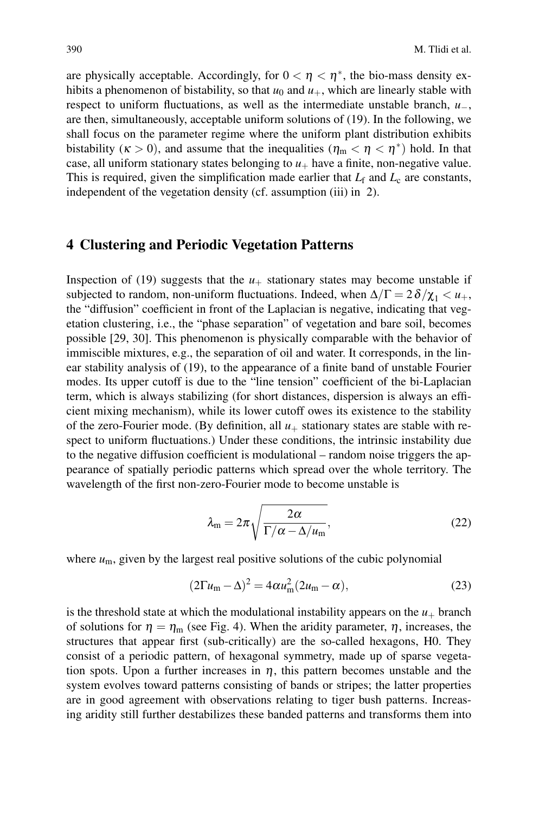are physically acceptable. Accordingly, for  $0 < \eta < \eta^*$ , the bio-mass density exhibits a phenomenon of bistability, so that  $u_0$  and  $u_+$ , which are linearly stable with respect to uniform fluctuations, as well as the intermediate unstable branch, *u*−, are then, simultaneously, acceptable uniform solutions of (19). In the following, we shall focus on the parameter regime where the uniform plant distribution exhibits bistability ( $\kappa > 0$ ), and assume that the inequalities ( $\eta_{\rm m} < \eta < \eta^*$ ) hold. In that case, all uniform stationary states belonging to  $u_+$  have a finite, non-negative value. This is required, given the simplification made earlier that  $L_f$  and  $L_c$  are constants, independent of the vegetation density (cf. assumption (iii) in 2).

### **4 Clustering and Periodic Vegetation Patterns**

Inspection of (19) suggests that the  $u_+$  stationary states may become unstable if subjected to random, non-uniform fluctuations. Indeed, when  $\Delta/\Gamma = 2\delta/\chi_1 < u_+$ , the "diffusion" coefficient in front of the Laplacian is negative, indicating that vegetation clustering, i.e., the "phase separation" of vegetation and bare soil, becomes possible [29, 30]. This phenomenon is physically comparable with the behavior of immiscible mixtures, e.g., the separation of oil and water. It corresponds, in the linear stability analysis of (19), to the appearance of a finite band of unstable Fourier modes. Its upper cutoff is due to the "line tension" coefficient of the bi-Laplacian term, which is always stabilizing (for short distances, dispersion is always an efficient mixing mechanism), while its lower cutoff owes its existence to the stability of the zero-Fourier mode. (By definition, all  $u_+$  stationary states are stable with respect to uniform fluctuations.) Under these conditions, the intrinsic instability due to the negative diffusion coefficient is modulational – random noise triggers the appearance of spatially periodic patterns which spread over the whole territory. The wavelength of the first non-zero-Fourier mode to become unstable is

$$
\lambda_{\rm m} = 2\pi \sqrt{\frac{2\alpha}{\Gamma/\alpha - \Delta/u_{\rm m}}},\tag{22}
$$

where  $u_{\rm m}$ , given by the largest real positive solutions of the cubic polynomial

$$
(2\Gamma u_m - \Delta)^2 = 4\alpha u_m^2 (2u_m - \alpha),\tag{23}
$$

is the threshold state at which the modulational instability appears on the  $u_+$  branch of solutions for  $\eta = \eta_m$  (see Fig. 4). When the aridity parameter,  $\eta$ , increases, the structures that appear first (sub-critically) are the so-called hexagons, H0. They consist of a periodic pattern, of hexagonal symmetry, made up of sparse vegetation spots. Upon a further increases in  $\eta$ , this pattern becomes unstable and the system evolves toward patterns consisting of bands or stripes; the latter properties are in good agreement with observations relating to tiger bush patterns. Increasing aridity still further destabilizes these banded patterns and transforms them into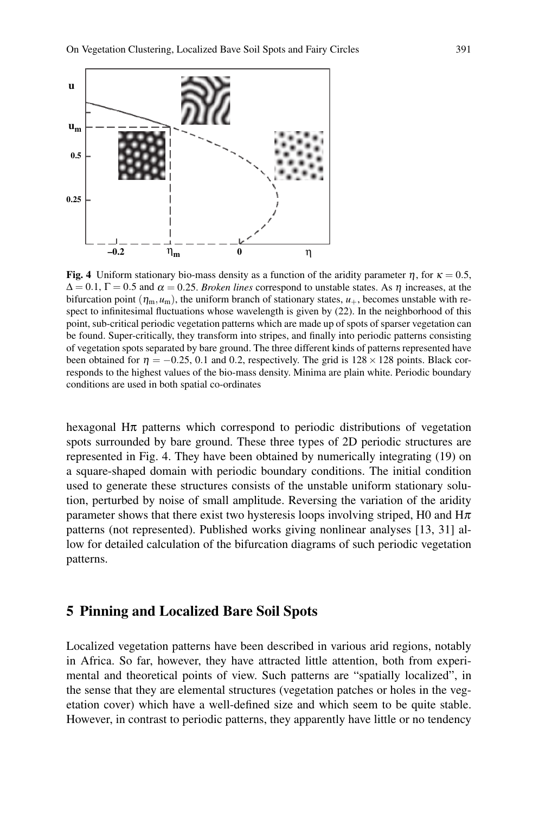

**Fig. 4** Uniform stationary bio-mass density as a function of the aridity parameter  $\eta$ , for  $\kappa = 0.5$ ,  $\Delta = 0.1$ ,  $\Gamma = 0.5$  and  $\alpha = 0.25$ . *Broken lines* correspond to unstable states. As  $\eta$  increases, at the bifurcation point  $(\eta_m, u_m)$ , the uniform branch of stationary states,  $u_+$ , becomes unstable with respect to infinitesimal fluctuations whose wavelength is given by (22). In the neighborhood of this point, sub-critical periodic vegetation patterns which are made up of spots of sparser vegetation can be found. Super-critically, they transform into stripes, and finally into periodic patterns consisting of vegetation spots separated by bare ground. The three different kinds of patterns represented have been obtained for  $\eta = -0.25, 0.1$  and 0.2, respectively. The grid is  $128 \times 128$  points. Black corresponds to the highest values of the bio-mass density. Minima are plain white. Periodic boundary conditions are used in both spatial co-ordinates

hexagonal H $\pi$  patterns which correspond to periodic distributions of vegetation spots surrounded by bare ground. These three types of 2D periodic structures are represented in Fig. 4. They have been obtained by numerically integrating (19) on a square-shaped domain with periodic boundary conditions. The initial condition used to generate these structures consists of the unstable uniform stationary solution, perturbed by noise of small amplitude. Reversing the variation of the aridity parameter shows that there exist two hysteresis loops involving striped, H0 and  $H\pi$ patterns (not represented). Published works giving nonlinear analyses [13, 31] allow for detailed calculation of the bifurcation diagrams of such periodic vegetation patterns.

#### **5 Pinning and Localized Bare Soil Spots**

Localized vegetation patterns have been described in various arid regions, notably in Africa. So far, however, they have attracted little attention, both from experimental and theoretical points of view. Such patterns are "spatially localized", in the sense that they are elemental structures (vegetation patches or holes in the vegetation cover) which have a well-defined size and which seem to be quite stable. However, in contrast to periodic patterns, they apparently have little or no tendency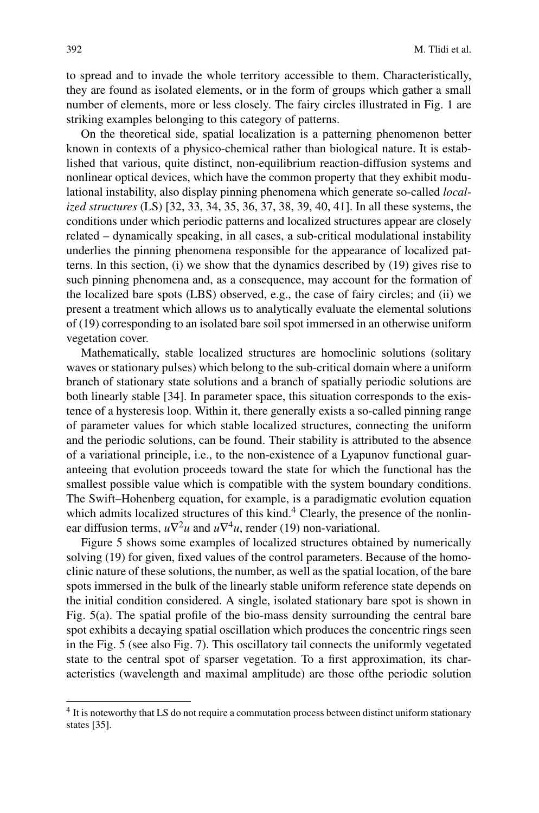to spread and to invade the whole territory accessible to them. Characteristically, they are found as isolated elements, or in the form of groups which gather a small number of elements, more or less closely. The fairy circles illustrated in Fig. 1 are striking examples belonging to this category of patterns.

On the theoretical side, spatial localization is a patterning phenomenon better known in contexts of a physico-chemical rather than biological nature. It is established that various, quite distinct, non-equilibrium reaction-diffusion systems and nonlinear optical devices, which have the common property that they exhibit modulational instability, also display pinning phenomena which generate so-called *localized structures* (LS) [32, 33, 34, 35, 36, 37, 38, 39, 40, 41]. In all these systems, the conditions under which periodic patterns and localized structures appear are closely related – dynamically speaking, in all cases, a sub-critical modulational instability underlies the pinning phenomena responsible for the appearance of localized patterns. In this section, (i) we show that the dynamics described by (19) gives rise to such pinning phenomena and, as a consequence, may account for the formation of the localized bare spots (LBS) observed, e.g., the case of fairy circles; and (ii) we present a treatment which allows us to analytically evaluate the elemental solutions of (19) corresponding to an isolated bare soil spot immersed in an otherwise uniform vegetation cover.

Mathematically, stable localized structures are homoclinic solutions (solitary waves or stationary pulses) which belong to the sub-critical domain where a uniform branch of stationary state solutions and a branch of spatially periodic solutions are both linearly stable [34]. In parameter space, this situation corresponds to the existence of a hysteresis loop. Within it, there generally exists a so-called pinning range of parameter values for which stable localized structures, connecting the uniform and the periodic solutions, can be found. Their stability is attributed to the absence of a variational principle, i.e., to the non-existence of a Lyapunov functional guaranteeing that evolution proceeds toward the state for which the functional has the smallest possible value which is compatible with the system boundary conditions. The Swift–Hohenberg equation, for example, is a paradigmatic evolution equation which admits localized structures of this kind.<sup>4</sup> Clearly, the presence of the nonlinear diffusion terms,  $u\nabla^2 u$  and  $u\nabla^4 u$ , render (19) non-variational.

Figure 5 shows some examples of localized structures obtained by numerically solving (19) for given, fixed values of the control parameters. Because of the homoclinic nature of these solutions, the number, as well as the spatial location, of the bare spots immersed in the bulk of the linearly stable uniform reference state depends on the initial condition considered. A single, isolated stationary bare spot is shown in Fig. 5(a). The spatial profile of the bio-mass density surrounding the central bare spot exhibits a decaying spatial oscillation which produces the concentric rings seen in the Fig. 5 (see also Fig. 7). This oscillatory tail connects the uniformly vegetated state to the central spot of sparser vegetation. To a first approximation, its characteristics (wavelength and maximal amplitude) are those ofthe periodic solution

<sup>&</sup>lt;sup>4</sup> It is noteworthy that LS do not require a commutation process between distinct uniform stationary states [35].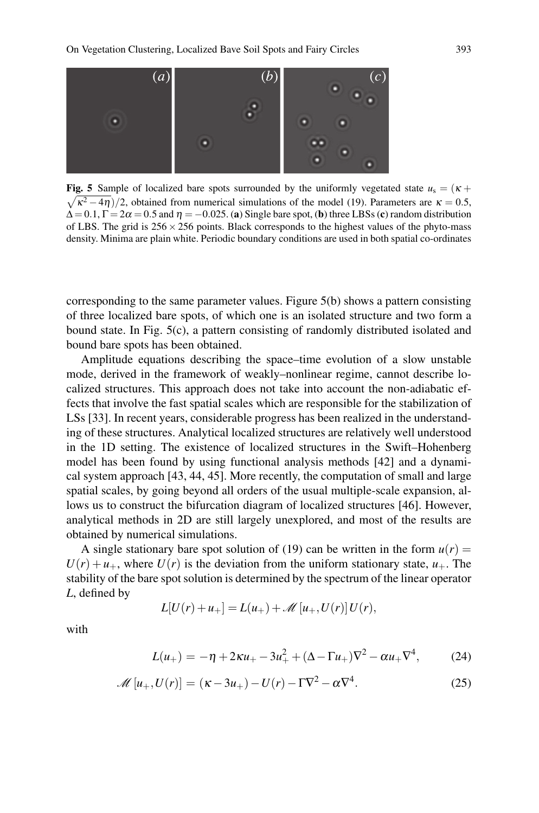

**Fig. 5** Sample of localized bare spots surrounded by the uniformly vegetated state  $u_s = (\kappa + \kappa)^2$  $\sqrt{\kappa^2-4\eta}$ /2, obtained from numerical simulations of the model (19). Parameters are  $\kappa = 0.5$ ,  $\Delta = 0.1$ ,  $\Gamma = 2\alpha = 0.5$  and  $\eta = -0.025$ . (a) Single bare spot, (b) three LBSs (c) random distribution of LBS. The grid is  $256 \times 256$  points. Black corresponds to the highest values of the phyto-mass density. Minima are plain white. Periodic boundary conditions are used in both spatial co-ordinates

corresponding to the same parameter values. Figure 5(b) shows a pattern consisting of three localized bare spots, of which one is an isolated structure and two form a bound state. In Fig. 5(c), a pattern consisting of randomly distributed isolated and bound bare spots has been obtained.

Amplitude equations describing the space–time evolution of a slow unstable mode, derived in the framework of weakly–nonlinear regime, cannot describe localized structures. This approach does not take into account the non-adiabatic effects that involve the fast spatial scales which are responsible for the stabilization of LSs [33]. In recent years, considerable progress has been realized in the understanding of these structures. Analytical localized structures are relatively well understood in the 1D setting. The existence of localized structures in the Swift–Hohenberg model has been found by using functional analysis methods [42] and a dynamical system approach [43, 44, 45]. More recently, the computation of small and large spatial scales, by going beyond all orders of the usual multiple-scale expansion, allows us to construct the bifurcation diagram of localized structures [46]. However, analytical methods in 2D are still largely unexplored, and most of the results are obtained by numerical simulations.

A single stationary bare spot solution of (19) can be written in the form  $u(r)$  =  $U(r) + u_+$ , where  $U(r)$  is the deviation from the uniform stationary state,  $u_+$ . The stability of the bare spot solution is determined by the spectrum of the linear operator *L*, defined by

$$
L[U(r) + u_+] = L(u_+) + \mathcal{M}[u_+, U(r)]U(r),
$$

with

$$
L(u_+) = -\eta + 2\kappa u_+ - 3u_+^2 + (\Delta - \Gamma u_+) \nabla^2 - \alpha u_+ \nabla^4, \tag{24}
$$

$$
\mathcal{M}[u_+, U(r)] = (\kappa - 3u_+) - U(r) - \Gamma \nabla^2 - \alpha \nabla^4. \tag{25}
$$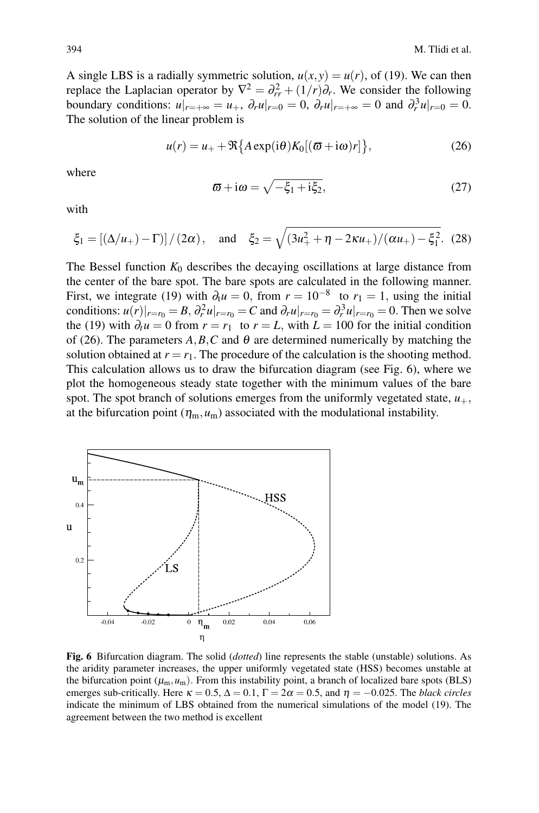A single LBS is a radially symmetric solution,  $u(x, y) = u(r)$ , of (19). We can then replace the Laplacian operator by  $\nabla^2 = \partial_{rr}^2 + (1/r)\partial_r$ . We consider the following boundary conditions:  $u|_{r=+\infty} = u_+$ ,  $\partial_r u|_{r=0} = 0$ ,  $\partial_r u|_{r=+\infty} = 0$  and  $\partial_r^3 u|_{r=0} = 0$ . The solution of the linear problem is

$$
u(r) = u_{+} + \Re\{A \exp(i\theta)K_0[(\omega + i\omega)r]\},
$$
 (26)

where

$$
\overline{\omega} + i\omega = \sqrt{-\xi_1 + i\xi_2},\tag{27}
$$

with

$$
\xi_1 = [(\Delta/u_+) - \Gamma]/(2\alpha)
$$
, and  $\xi_2 = \sqrt{(3u_+^2 + \eta - 2\kappa u_+)/(\alpha u_+) - \xi_1^2}$ . (28)

The Bessel function *K*<sup>0</sup> describes the decaying oscillations at large distance from the center of the bare spot. The bare spots are calculated in the following manner. First, we integrate (19) with  $\partial_t u = 0$ , from  $r = 10^{-8}$  to  $r_1 = 1$ , using the initial conditions:  $u(r)|_{r=r_0} = B$ ,  $\partial_r^2 u|_{r=r_0} = C$  and  $\partial_r u|_{r=r_0} = \partial_r^3 u|_{r=r_0} = 0$ . Then we solve the (19) with  $\partial_t u = 0$  from  $r = r_1$  to  $r = L$ , with  $L = 100$  for the initial condition of (26). The parameters  $A, B, C$  and  $\theta$  are determined numerically by matching the solution obtained at  $r = r_1$ . The procedure of the calculation is the shooting method. This calculation allows us to draw the bifurcation diagram (see Fig. 6), where we plot the homogeneous steady state together with the minimum values of the bare spot. The spot branch of solutions emerges from the uniformly vegetated state,  $u_+$ , at the bifurcation point  $(\eta_m, u_m)$  associated with the modulational instability.



**Fig. 6** Bifurcation diagram. The solid (*dotted*) line represents the stable (unstable) solutions. As the aridity parameter increases, the upper uniformly vegetated state (HSS) becomes unstable at the bifurcation point  $(\mu_m, u_m)$ . From this instability point, a branch of localized bare spots (BLS) emerges sub-critically. Here  $\kappa = 0.5$ ,  $\Delta = 0.1$ ,  $\Gamma = 2\alpha = 0.5$ , and  $\eta = -0.025$ . The *black circles* indicate the minimum of LBS obtained from the numerical simulations of the model (19). The agreement between the two method is excellent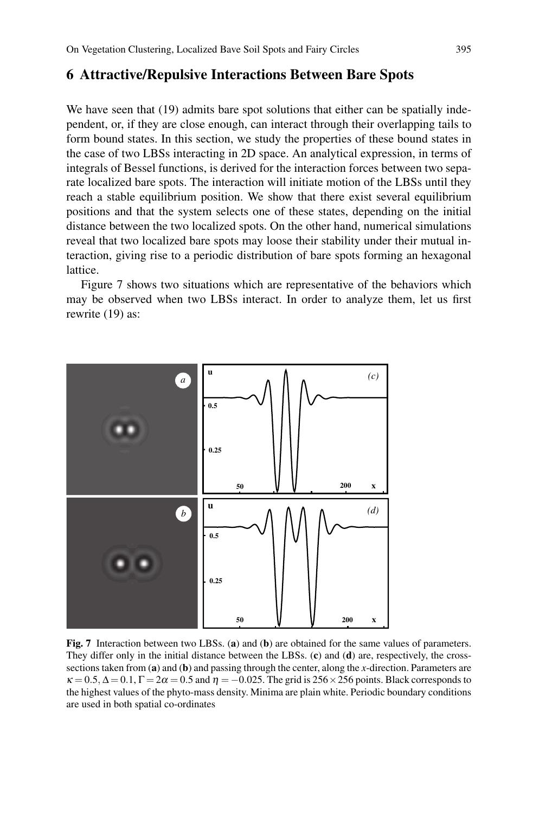### **6 Attractive/Repulsive Interactions Between Bare Spots**

We have seen that (19) admits bare spot solutions that either can be spatially independent, or, if they are close enough, can interact through their overlapping tails to form bound states. In this section, we study the properties of these bound states in the case of two LBSs interacting in 2D space. An analytical expression, in terms of integrals of Bessel functions, is derived for the interaction forces between two separate localized bare spots. The interaction will initiate motion of the LBSs until they reach a stable equilibrium position. We show that there exist several equilibrium positions and that the system selects one of these states, depending on the initial distance between the two localized spots. On the other hand, numerical simulations reveal that two localized bare spots may loose their stability under their mutual interaction, giving rise to a periodic distribution of bare spots forming an hexagonal lattice.

Figure 7 shows two situations which are representative of the behaviors which may be observed when two LBSs interact. In order to analyze them, let us first rewrite (19) as:



**Fig. 7** Interaction between two LBSs. (**a**) and (**b**) are obtained for the same values of parameters. They differ only in the initial distance between the LBSs. (**c**) and (**d**) are, respectively, the crosssections taken from (**a**) and (**b**) and passing through the center, along the *x*-direction. Parameters are  $\kappa = 0.5, \Delta = 0.1, \Gamma = 2\alpha = 0.5$  and  $\eta = -0.025$ . The grid is 256 × 256 points. Black corresponds to the highest values of the phyto-mass density. Minima are plain white. Periodic boundary conditions are used in both spatial co-ordinates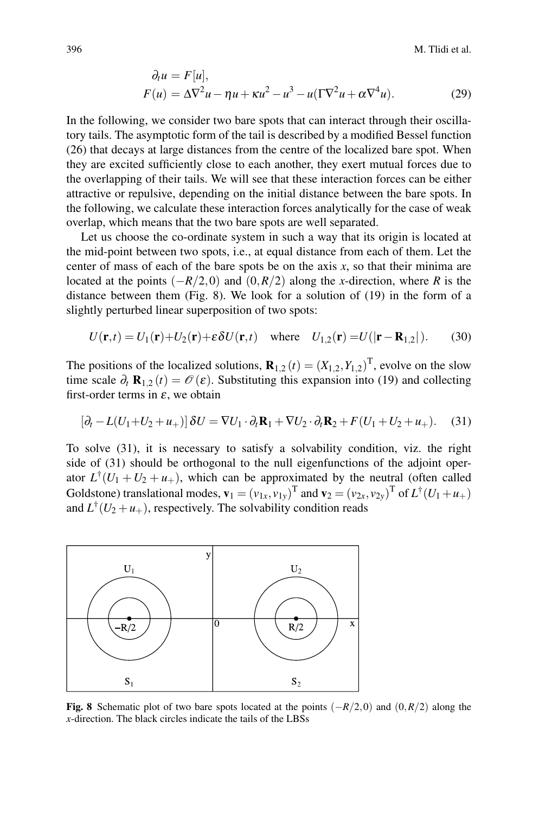$$
\partial_t u = F[u],
$$
  
 
$$
F(u) = \Delta \nabla^2 u - \eta u + \kappa u^2 - u^3 - u(\Gamma \nabla^2 u + \alpha \nabla^4 u).
$$
 (29)

In the following, we consider two bare spots that can interact through their oscillatory tails. The asymptotic form of the tail is described by a modified Bessel function (26) that decays at large distances from the centre of the localized bare spot. When they are excited sufficiently close to each another, they exert mutual forces due to the overlapping of their tails. We will see that these interaction forces can be either attractive or repulsive, depending on the initial distance between the bare spots. In the following, we calculate these interaction forces analytically for the case of weak overlap, which means that the two bare spots are well separated.

Let us choose the co-ordinate system in such a way that its origin is located at the mid-point between two spots, i.e., at equal distance from each of them. Let the center of mass of each of the bare spots be on the axis  $x$ , so that their minima are located at the points (−*R*/2,0) and (0,*R*/2) along the *x*-direction, where *R* is the distance between them (Fig. 8). We look for a solution of (19) in the form of a slightly perturbed linear superposition of two spots:

$$
U(\mathbf{r},t) = U_1(\mathbf{r}) + U_2(\mathbf{r}) + \varepsilon \delta U(\mathbf{r},t) \quad \text{where} \quad U_{1,2}(\mathbf{r}) = U(|\mathbf{r} - \mathbf{R}_{1,2}|). \tag{30}
$$

The positions of the localized solutions,  $\mathbf{R}_{1,2}(t) = (X_{1,2}, Y_{1,2})^{\mathrm{T}}$ , evolve on the slow time scale  $\partial_t \mathbf{R}_{1,2}(t) = \mathcal{O}(\varepsilon)$ . Substituting this expansion into (19) and collecting first-order terms in  $\varepsilon$ , we obtain

$$
\left[\partial_t - L(U_1 + U_2 + u_+)\right] \delta U = \nabla U_1 \cdot \partial_t \mathbf{R}_1 + \nabla U_2 \cdot \partial_t \mathbf{R}_2 + F(U_1 + U_2 + u_+). \tag{31}
$$

To solve (31), it is necessary to satisfy a solvability condition, viz. the right side of (31) should be orthogonal to the null eigenfunctions of the adjoint operator  $L^{\dagger}(U_1 + U_2 + u_+)$ , which can be approximated by the neutral (often called Goldstone) translational modes,  $\mathbf{v}_1 = (v_{1x}, v_{1y})^\text{T}$  and  $\mathbf{v}_2 = (v_{2x}, v_{2y})^\text{T}$  of  $L^{\dagger}(U_1 + u_+)$ and  $L^{\dagger}(U_2 + u_+)$ , respectively. The solvability condition reads



**Fig. 8** Schematic plot of two bare spots located at the points (−*R*/2,0) and (0,*R*/2) along the *x*-direction. The black circles indicate the tails of the LBSs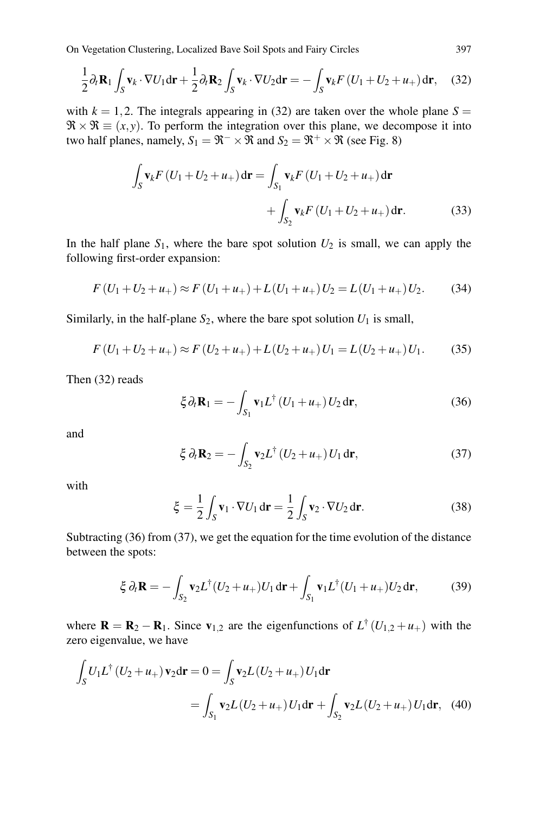On Vegetation Clustering, Localized Bave Soil Spots and Fairy Circles 397

$$
\frac{1}{2}\partial_t \mathbf{R}_1 \int_S \mathbf{v}_k \cdot \nabla U_1 d\mathbf{r} + \frac{1}{2}\partial_t \mathbf{R}_2 \int_S \mathbf{v}_k \cdot \nabla U_2 d\mathbf{r} = -\int_S \mathbf{v}_k F(U_1 + U_2 + u_+) d\mathbf{r}, \quad (32)
$$

with  $k = 1, 2$ . The integrals appearing in (32) are taken over the whole plane  $S =$  $\Re \times \Re \equiv (x, y)$ . To perform the integration over this plane, we decompose it into two half planes, namely,  $S_1 = \mathfrak{R}^- \times \mathfrak{R}$  and  $S_2 = \mathfrak{R}^+ \times \mathfrak{R}$  (see Fig. 8)

$$
\int_{S} \mathbf{v}_{k} F \left( U_{1} + U_{2} + u_{+} \right) d\mathbf{r} = \int_{S_{1}} \mathbf{v}_{k} F \left( U_{1} + U_{2} + u_{+} \right) d\mathbf{r} + \int_{S_{2}} \mathbf{v}_{k} F \left( U_{1} + U_{2} + u_{+} \right) d\mathbf{r}.
$$
\n(33)

In the half plane  $S_1$ , where the bare spot solution  $U_2$  is small, we can apply the following first-order expansion:

$$
F(U_1 + U_2 + u_+) \approx F(U_1 + u_+) + L(U_1 + u_+)U_2 = L(U_1 + u_+)U_2.
$$
 (34)

Similarly, in the half-plane  $S_2$ , where the bare spot solution  $U_1$  is small,

$$
F(U_1 + U_2 + u_+) \approx F(U_2 + u_+) + L(U_2 + u_+)U_1 = L(U_2 + u_+)U_1.
$$
 (35)

Then (32) reads

$$
\xi \partial_t \mathbf{R}_1 = -\int_{S_1} \mathbf{v}_1 L^{\dagger} \left( U_1 + u_+ \right) U_2 \, \mathrm{d} \mathbf{r},\tag{36}
$$

and

$$
\xi \partial_t \mathbf{R}_2 = -\int_{S_2} \mathbf{v}_2 L^{\dagger} \left( U_2 + u_+ \right) U_1 \, \mathrm{d} \mathbf{r},\tag{37}
$$

with

$$
\xi = \frac{1}{2} \int_{S} \mathbf{v}_{1} \cdot \nabla U_{1} \, d\mathbf{r} = \frac{1}{2} \int_{S} \mathbf{v}_{2} \cdot \nabla U_{2} \, d\mathbf{r}.
$$
 (38)

Subtracting (36) from (37), we get the equation for the time evolution of the distance between the spots:

$$
\xi \,\partial_t \mathbf{R} = -\int_{S_2} \mathbf{v}_2 L^{\dagger} (U_2 + u_+) U_1 \, \mathrm{d}\mathbf{r} + \int_{S_1} \mathbf{v}_1 L^{\dagger} (U_1 + u_+) U_2 \, \mathrm{d}\mathbf{r},\tag{39}
$$

where  $\mathbf{R} = \mathbf{R}_2 - \mathbf{R}_1$ . Since  $\mathbf{v}_{1,2}$  are the eigenfunctions of  $L^{\dagger}$  ( $U_{1,2} + u_+$ ) with the zero eigenvalue, we have

$$
\int_{S} U_{1} L^{\dagger} (U_{2} + u_{+}) \mathbf{v}_{2} d\mathbf{r} = 0 = \int_{S} \mathbf{v}_{2} L (U_{2} + u_{+}) U_{1} d\mathbf{r}
$$
\n
$$
= \int_{S_{1}} \mathbf{v}_{2} L (U_{2} + u_{+}) U_{1} d\mathbf{r} + \int_{S_{2}} \mathbf{v}_{2} L (U_{2} + u_{+}) U_{1} d\mathbf{r}, \quad (40)
$$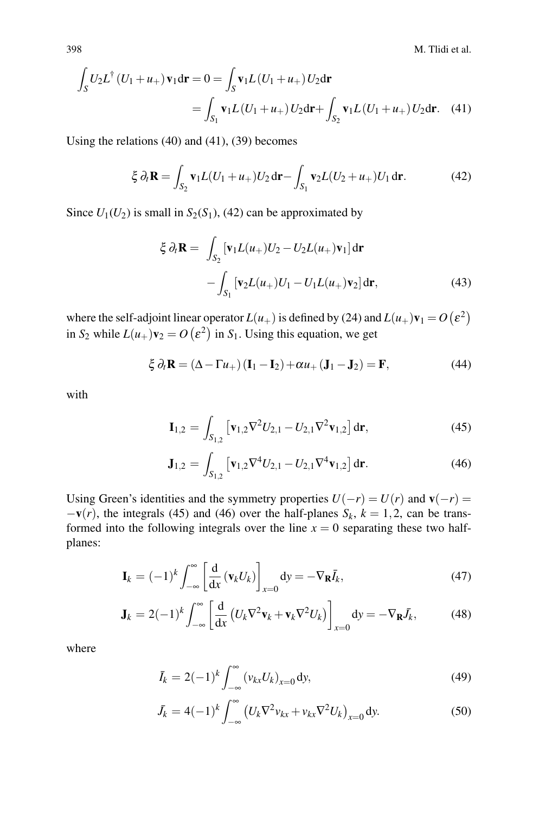398 M. Tlidi et al.

$$
\int_{S} U_{2} L^{\dagger} (U_{1} + u_{+}) \mathbf{v}_{1} d\mathbf{r} = 0 = \int_{S} \mathbf{v}_{1} L (U_{1} + u_{+}) U_{2} d\mathbf{r}
$$
\n
$$
= \int_{S_{1}} \mathbf{v}_{1} L (U_{1} + u_{+}) U_{2} d\mathbf{r} + \int_{S_{2}} \mathbf{v}_{1} L (U_{1} + u_{+}) U_{2} d\mathbf{r}.
$$
 (41)

Using the relations (40) and (41), (39) becomes

$$
\xi \partial_t \mathbf{R} = \int_{S_2} \mathbf{v}_1 L (U_1 + u_+) U_2 \, \mathrm{d} \mathbf{r} - \int_{S_1} \mathbf{v}_2 L (U_2 + u_+) U_1 \, \mathrm{d} \mathbf{r}.
$$
 (42)

Since  $U_1(U_2)$  is small in  $S_2(S_1)$ , (42) can be approximated by

$$
\xi \partial_t \mathbf{R} = \int_{S_2} \left[ \mathbf{v}_1 L(u_+) U_2 - U_2 L(u_+) \mathbf{v}_1 \right] d\mathbf{r}
$$

$$
- \int_{S_1} \left[ \mathbf{v}_2 L(u_+) U_1 - U_1 L(u_+) \mathbf{v}_2 \right] d\mathbf{r}, \tag{43}
$$

where the self-adjoint linear operator  $L(u_+)$  is defined by (24) and  $L(u_+) \mathbf{v}_1 = O(\varepsilon^2)$ in  $S_2$  while  $L(u_+)v_2 = O(\varepsilon^2)$  in  $S_1$ . Using this equation, we get

$$
\xi \partial_t \mathbf{R} = (\Delta - \Gamma u_+) (\mathbf{I}_1 - \mathbf{I}_2) + \alpha u_+ (\mathbf{J}_1 - \mathbf{J}_2) = \mathbf{F},
$$
\n(44)

with

$$
\mathbf{I}_{1,2} = \int_{S_{1,2}} \left[ \mathbf{v}_{1,2} \nabla^2 U_{2,1} - U_{2,1} \nabla^2 \mathbf{v}_{1,2} \right] d\mathbf{r},\tag{45}
$$

$$
\mathbf{J}_{1,2} = \int_{S_{1,2}} \left[ \mathbf{v}_{1,2} \nabla^4 U_{2,1} - U_{2,1} \nabla^4 \mathbf{v}_{1,2} \right] d\mathbf{r}.
$$
 (46)

Using Green's identities and the symmetry properties  $U(-r) = U(r)$  and  $\mathbf{v}(-r) =$  $-\mathbf{v}(r)$ , the integrals (45) and (46) over the half-planes  $S_k$ ,  $k = 1, 2$ , can be transformed into the following integrals over the line  $x = 0$  separating these two halfplanes:

$$
\mathbf{I}_{k} = (-1)^{k} \int_{-\infty}^{\infty} \left[ \frac{\mathrm{d}}{\mathrm{d}x} \left( \mathbf{v}_{k} U_{k} \right) \right]_{x=0} \mathrm{d}y = -\nabla_{\mathbf{R}} \bar{I}_{k}, \tag{47}
$$

$$
\mathbf{J}_k = 2(-1)^k \int_{-\infty}^{\infty} \left[ \frac{\mathrm{d}}{\mathrm{d}x} \left( U_k \nabla^2 \mathbf{v}_k + \mathbf{v}_k \nabla^2 U_k \right) \right]_{x=0} \mathrm{d}y = -\nabla_\mathbf{R} \bar{J}_k,\tag{48}
$$

where

$$
\bar{I}_k = 2(-1)^k \int_{-\infty}^{\infty} (\nu_{kx} U_k)_{x=0} \, dy,\tag{49}
$$

$$
\bar{J}_k = 4(-1)^k \int_{-\infty}^{\infty} \left( U_k \nabla^2 v_{kx} + v_{kx} \nabla^2 U_k \right)_{x=0} dy.
$$
 (50)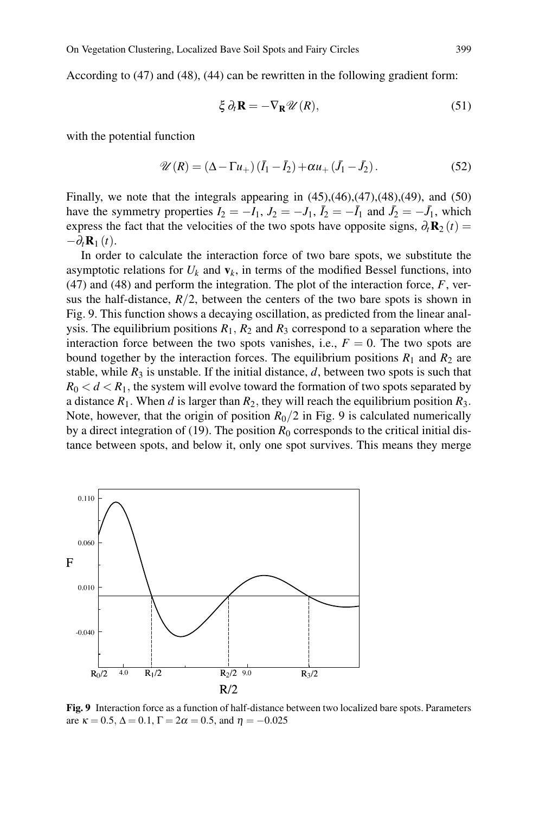According to (47) and (48), (44) can be rewritten in the following gradient form:

$$
\xi \partial_t \mathbf{R} = -\nabla_{\mathbf{R}} \mathscr{U}(R),\tag{51}
$$

with the potential function

$$
\mathscr{U}(R) = (\Delta - \Gamma u_+) (\bar{I}_1 - \bar{I}_2) + \alpha u_+ (\bar{J}_1 - \bar{J}_2). \tag{52}
$$

Finally, we note that the integrals appearing in  $(45)$ , $(46)$ , $(47)$ , $(48)$ , $(49)$ , and  $(50)$ have the symmetry properties  $I_2 = -I_1$ ,  $J_2 = -J_1$ ,  $\overline{I}_2 = -\overline{I}_1$  and  $\overline{J}_2 = -\overline{J}_1$ , which express the fact that the velocities of the two spots have opposite signs,  $\partial_t \mathbf{R}_2(t)$  =  $-\partial_t \mathbf{R}_1(t)$ .

In order to calculate the interaction force of two bare spots, we substitute the asymptotic relations for  $U_k$  and  $\mathbf{v}_k$ , in terms of the modified Bessel functions, into  $(47)$  and  $(48)$  and perform the integration. The plot of the interaction force,  $F$ , versus the half-distance,  $R/2$ , between the centers of the two bare spots is shown in Fig. 9. This function shows a decaying oscillation, as predicted from the linear analysis. The equilibrium positions  $R_1$ ,  $R_2$  and  $R_3$  correspond to a separation where the interaction force between the two spots vanishes, i.e.,  $F = 0$ . The two spots are bound together by the interaction forces. The equilibrium positions  $R_1$  and  $R_2$  are stable, while  $R_3$  is unstable. If the initial distance,  $d$ , between two spots is such that  $R_0 < d < R_1$ , the system will evolve toward the formation of two spots separated by a distance  $R_1$ . When *d* is larger than  $R_2$ , they will reach the equilibrium position  $R_3$ . Note, however, that the origin of position  $R_0/2$  in Fig. 9 is calculated numerically by a direct integration of (19). The position *R*<sup>0</sup> corresponds to the critical initial distance between spots, and below it, only one spot survives. This means they merge



**Fig. 9** Interaction force as a function of half-distance between two localized bare spots. Parameters are  $\kappa = 0.5$ ,  $\Delta = 0.1$ ,  $\Gamma = 2\alpha = 0.5$ , and  $\eta = -0.025$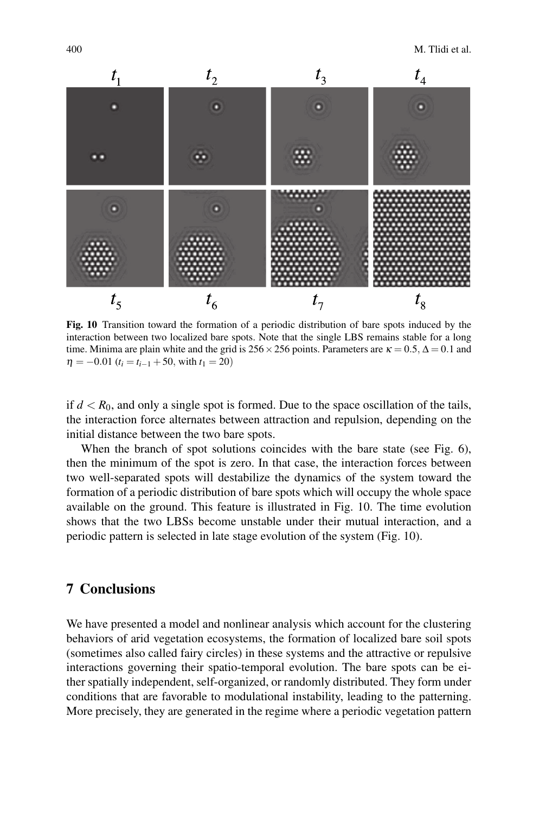

**Fig. 10** Transition toward the formation of a periodic distribution of bare spots induced by the interaction between two localized bare spots. Note that the single LBS remains stable for a long time. Minima are plain white and the grid is  $256 \times 256$  points. Parameters are  $\kappa = 0.5$ ,  $\Delta = 0.1$  and  $\eta = -0.01$  ( $t_i = t_{i-1} + 50$ , with  $t_1 = 20$ )

if  $d < R_0$ , and only a single spot is formed. Due to the space oscillation of the tails, the interaction force alternates between attraction and repulsion, depending on the initial distance between the two bare spots.

When the branch of spot solutions coincides with the bare state (see Fig. 6), then the minimum of the spot is zero. In that case, the interaction forces between two well-separated spots will destabilize the dynamics of the system toward the formation of a periodic distribution of bare spots which will occupy the whole space available on the ground. This feature is illustrated in Fig. 10. The time evolution shows that the two LBSs become unstable under their mutual interaction, and a periodic pattern is selected in late stage evolution of the system (Fig. 10).

#### **7 Conclusions**

We have presented a model and nonlinear analysis which account for the clustering behaviors of arid vegetation ecosystems, the formation of localized bare soil spots (sometimes also called fairy circles) in these systems and the attractive or repulsive interactions governing their spatio-temporal evolution. The bare spots can be either spatially independent, self-organized, or randomly distributed. They form under conditions that are favorable to modulational instability, leading to the patterning. More precisely, they are generated in the regime where a periodic vegetation pattern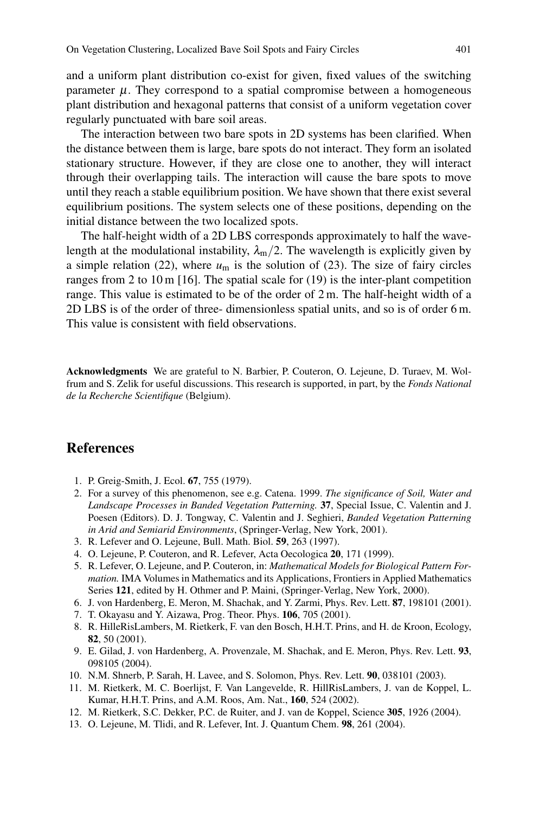and a uniform plant distribution co-exist for given, fixed values of the switching parameter  $\mu$ . They correspond to a spatial compromise between a homogeneous plant distribution and hexagonal patterns that consist of a uniform vegetation cover regularly punctuated with bare soil areas.

The interaction between two bare spots in 2D systems has been clarified. When the distance between them is large, bare spots do not interact. They form an isolated stationary structure. However, if they are close one to another, they will interact through their overlapping tails. The interaction will cause the bare spots to move until they reach a stable equilibrium position. We have shown that there exist several equilibrium positions. The system selects one of these positions, depending on the initial distance between the two localized spots.

The half-height width of a 2D LBS corresponds approximately to half the wavelength at the modulational instability,  $\lambda_{m}/2$ . The wavelength is explicitly given by a simple relation  $(22)$ , where  $u_m$  is the solution of  $(23)$ . The size of fairy circles ranges from 2 to 10 m [16]. The spatial scale for (19) is the inter-plant competition range. This value is estimated to be of the order of 2 m. The half-height width of a 2D LBS is of the order of three- dimensionless spatial units, and so is of order 6 m. This value is consistent with field observations.

**Acknowledgments** We are grateful to N. Barbier, P. Couteron, O. Lejeune, D. Turaev, M. Wolfrum and S. Zelik for useful discussions. This research is supported, in part, by the *Fonds National de la Recherche Scientifique* (Belgium).

### **References**

- 1. P. Greig-Smith, J. Ecol. **67**, 755 (1979).
- 2. For a survey of this phenomenon, see e.g. Catena. 1999. *The significance of Soil, Water and Landscape Processes in Banded Vegetation Patterning.* **37**, Special Issue, C. Valentin and J. Poesen (Editors). D. J. Tongway, C. Valentin and J. Seghieri, *Banded Vegetation Patterning in Arid and Semiarid Environments*, (Springer-Verlag, New York, 2001).
- 3. R. Lefever and O. Lejeune, Bull. Math. Biol. **59**, 263 (1997).
- 4. O. Lejeune, P. Couteron, and R. Lefever, Acta Oecologica **20**, 171 (1999).
- 5. R. Lefever, O. Lejeune, and P. Couteron, in: *Mathematical Models for Biological Pattern Formation.* IMA Volumes in Mathematics and its Applications, Frontiers in Applied Mathematics Series **121**, edited by H. Othmer and P. Maini, (Springer-Verlag, New York, 2000).
- 6. J. von Hardenberg, E. Meron, M. Shachak, and Y. Zarmi, Phys. Rev. Lett. **87**, 198101 (2001).
- 7. T. Okayasu and Y. Aizawa, Prog. Theor. Phys. **106**, 705 (2001).
- 8. R. HilleRisLambers, M. Rietkerk, F. van den Bosch, H.H.T. Prins, and H. de Kroon, Ecology, **82**, 50 (2001).
- 9. E. Gilad, J. von Hardenberg, A. Provenzale, M. Shachak, and E. Meron, Phys. Rev. Lett. **93**, 098105 (2004).
- 10. N.M. Shnerb, P. Sarah, H. Lavee, and S. Solomon, Phys. Rev. Lett. **90**, 038101 (2003).
- 11. M. Rietkerk, M. C. Boerlijst, F. Van Langevelde, R. HillRisLambers, J. van de Koppel, L. Kumar, H.H.T. Prins, and A.M. Roos, Am. Nat., **160**, 524 (2002).
- 12. M. Rietkerk, S.C. Dekker, P.C. de Ruiter, and J. van de Koppel, Science **305**, 1926 (2004).
- 13. O. Lejeune, M. Tlidi, and R. Lefever, Int. J. Quantum Chem. **98**, 261 (2004).